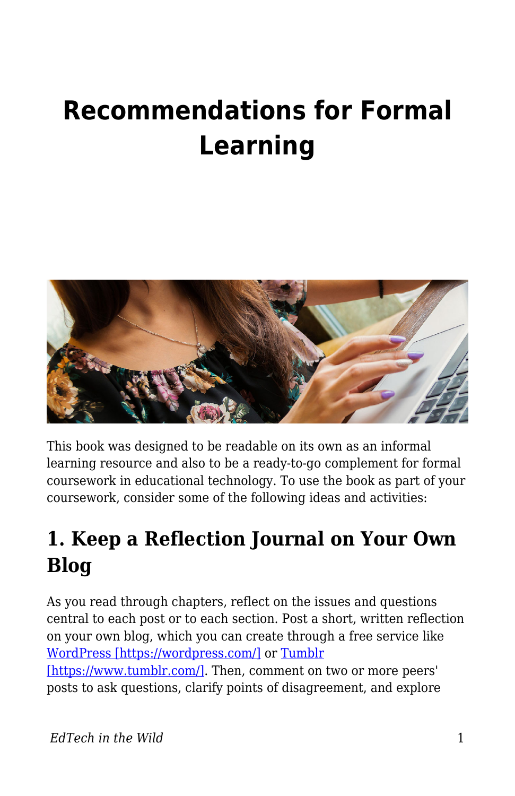# **Recommendations for Formal Learning**



This book was designed to be readable on its own as an informal learning resource and also to be a ready-to-go complement for formal coursework in educational technology. To use the book as part of your coursework, consider some of the following ideas and activities:

# **1. Keep a Reflection Journal on Your Own Blog**

As you read through chapters, reflect on the issues and questions central to each post or to each section. Post a short, written reflection on your own blog, which you can create through a free service like [WordPress \[https://wordpress.com/\]](https://wordpress.com/) or [Tumblr](https://www.tumblr.com/)

[\[https://www.tumblr.com/\]](https://www.tumblr.com/). Then, comment on two or more peers' posts to ask questions, clarify points of disagreement, and explore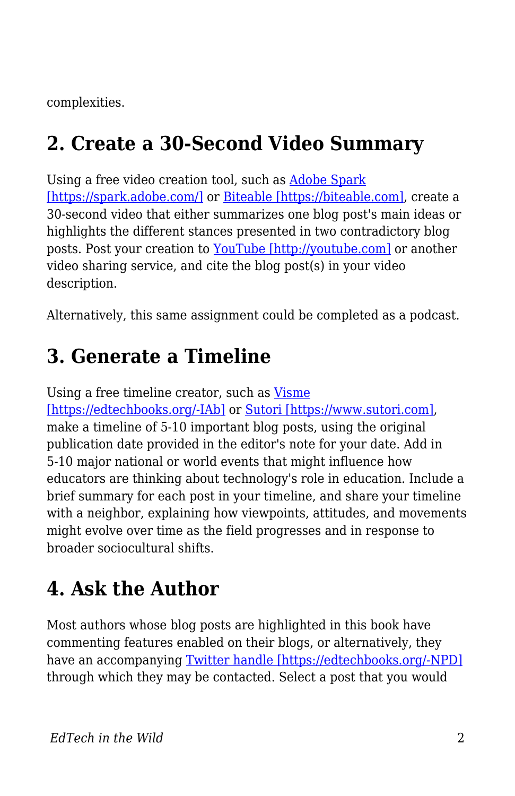complexities.

## **2. Create a 30-Second Video Summary**

Using a free video creation tool, such as [Adobe Spark](https://spark.adobe.com/) [\[https://spark.adobe.com/\]](https://spark.adobe.com/) or [Biteable \[https://biteable.com\],](https://biteable.com) create a 30-second video that either summarizes one blog post's main ideas or highlights the different stances presented in two contradictory blog posts. Post your creation to [YouTube \[http://youtube.com\]](http://youtube.com) or another video sharing service, and cite the blog post(s) in your video description.

Alternatively, this same assignment could be completed as a podcast.

#### **3. Generate a Timeline**

Using a free timeline creator, such as [Visme](https://www.visme.co/timeline-maker/) [\[https://edtechbooks.org/-IAb\]](https://www.visme.co/timeline-maker/) or [Sutori \[https://www.sutori.com\],](https://www.sutori.com) make a timeline of 5-10 important blog posts, using the original publication date provided in the editor's note for your date. Add in 5-10 major national or world events that might influence how educators are thinking about technology's role in education. Include a brief summary for each post in your timeline, and share your timeline with a neighbor, explaining how viewpoints, attitudes, and movements might evolve over time as the field progresses and in response to broader sociocultural shifts.

# **4. Ask the Author**

Most authors whose blog posts are highlighted in this book have commenting features enabled on their blogs, or alternatively, they have an accompanying [Twitter handle \[https://edtechbooks.org/-NPD\]](https://edtechbooks.org/wild/list_of_blogs) through which they may be contacted. Select a post that you would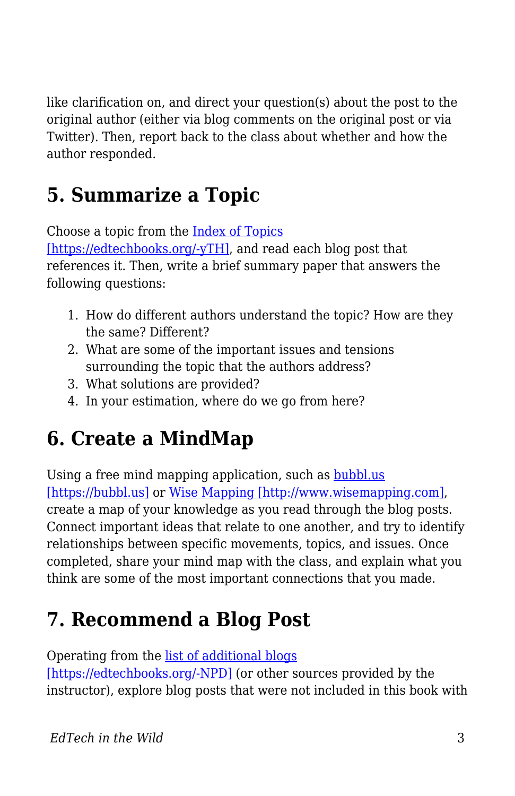like clarification on, and direct your question(s) about the post to the original author (either via blog comments on the original post or via Twitter). Then, report back to the class about whether and how the author responded.

# **5. Summarize a Topic**

Choose a topic from the [Index of Topics](https://edtechbooks.org/wild/index)

[\[https://edtechbooks.org/-yTH\]](https://edtechbooks.org/wild/index), and read each blog post that references it. Then, write a brief summary paper that answers the following questions:

- 1. How do different authors understand the topic? How are they the same? Different?
- 2. What are some of the important issues and tensions surrounding the topic that the authors address?
- 3. What solutions are provided?
- 4. In your estimation, where do we go from here?

#### **6. Create a MindMap**

Using a free mind mapping application, such as **[bubbl.us](https://bubbl.us)** [\[https://bubbl.us\]](https://bubbl.us) or [Wise Mapping \[http://www.wisemapping.com\],](http://www.wisemapping.com) create a map of your knowledge as you read through the blog posts. Connect important ideas that relate to one another, and try to identify relationships between specific movements, topics, and issues. Once completed, share your mind map with the class, and explain what you think are some of the most important connections that you made.

## **7. Recommend a Blog Post**

Operating from the [list of additional blogs](https://edtechbooks.org/wild/list_of_blogs)

[\[https://edtechbooks.org/-NPD\]](https://edtechbooks.org/wild/list_of_blogs) (or other sources provided by the instructor), explore blog posts that were not included in this book with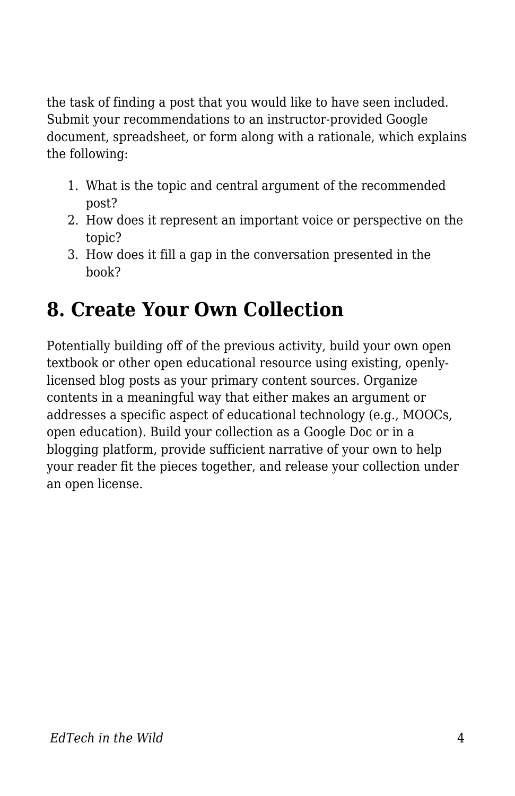the task of finding a post that you would like to have seen included. Submit your recommendations to an instructor-provided Google document, spreadsheet, or form along with a rationale, which explains the following:

- 1. What is the topic and central argument of the recommended post?
- 2. How does it represent an important voice or perspective on the topic?
- 3. How does it fill a gap in the conversation presented in the book?

## **8. Create Your Own Collection**

Potentially building off of the previous activity, build your own open textbook or other open educational resource using existing, openlylicensed blog posts as your primary content sources. Organize contents in a meaningful way that either makes an argument or addresses a specific aspect of educational technology (e.g., MOOCs, open education). Build your collection as a Google Doc or in a blogging platform, provide sufficient narrative of your own to help your reader fit the pieces together, and release your collection under an open license.